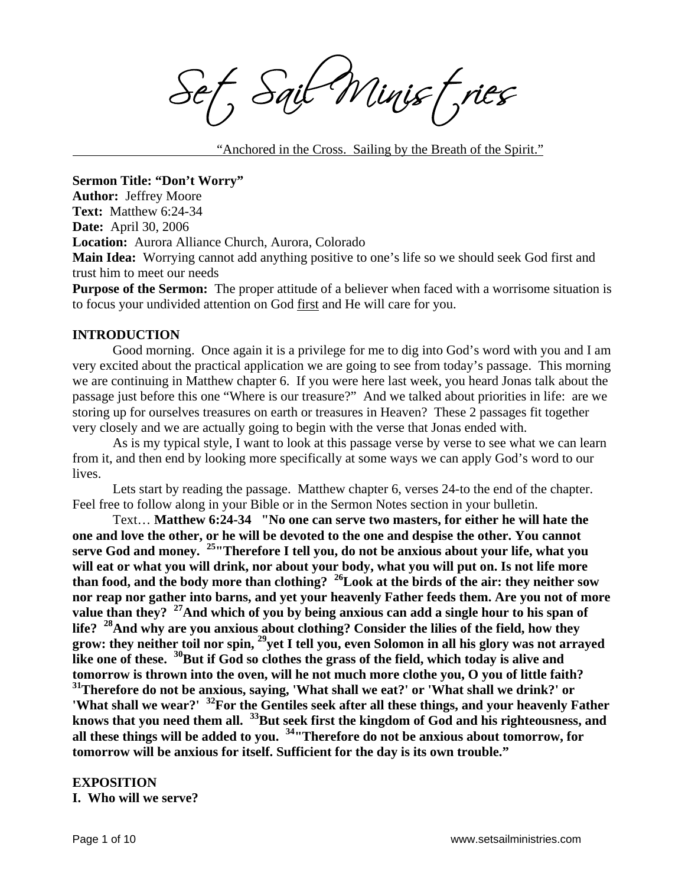Sail Minist, ries

"Anchored in the Cross. Sailing by the Breath of the Spirit."

**Sermon Title: "Don't Worry" Author:** Jeffrey Moore **Text:** Matthew 6:24-34 **Date:** April 30, 2006 **Location:** Aurora Alliance Church, Aurora, Colorado **Main Idea:** Worrying cannot add anything positive to one's life so we should seek God first and

trust him to meet our needs

**Purpose of the Sermon:** The proper attitude of a believer when faced with a worrisome situation is to focus your undivided attention on God first and He will care for you.

#### **INTRODUCTION**

 Good morning. Once again it is a privilege for me to dig into God's word with you and I am very excited about the practical application we are going to see from today's passage. This morning we are continuing in Matthew chapter 6. If you were here last week, you heard Jonas talk about the passage just before this one "Where is our treasure?" And we talked about priorities in life: are we storing up for ourselves treasures on earth or treasures in Heaven? These 2 passages fit together very closely and we are actually going to begin with the verse that Jonas ended with.

As is my typical style, I want to look at this passage verse by verse to see what we can learn from it, and then end by looking more specifically at some ways we can apply God's word to our lives.

 Lets start by reading the passage. Matthew chapter 6, verses 24-to the end of the chapter. Feel free to follow along in your Bible or in the Sermon Notes section in your bulletin.

 Text… **Matthew 6:24-34 "No one can serve two masters, for either he will hate the one and love the other, or he will be devoted to the one and despise the other. You cannot serve God and money. 25"Therefore I tell you, do not be anxious about your life, what you will eat or what you will drink, nor about your body, what you will put on. Is not life more than food, and the body more than clothing? 26Look at the birds of the air: they neither sow nor reap nor gather into barns, and yet your heavenly Father feeds them. Are you not of more**  value than they? <sup>27</sup>And which of you by being anxious can add a single hour to his span of **life? 28And why are you anxious about clothing? Consider the lilies of the field, how they grow: they neither toil nor spin, 29yet I tell you, even Solomon in all his glory was not arrayed**  like one of these. <sup>30</sup>But if God so clothes the grass of the field, which today is alive and **tomorrow is thrown into the oven, will he not much more clothe you, O you of little faith? 31Therefore do not be anxious, saying, 'What shall we eat?' or 'What shall we drink?' or 'What shall we wear?' 32For the Gentiles seek after all these things, and your heavenly Father knows that you need them all. 33But seek first the kingdom of God and his righteousness, and all these things will be added to you. 34"Therefore do not be anxious about tomorrow, for tomorrow will be anxious for itself. Sufficient for the day is its own trouble."** 

#### **EXPOSITION**

**I. Who will we serve?**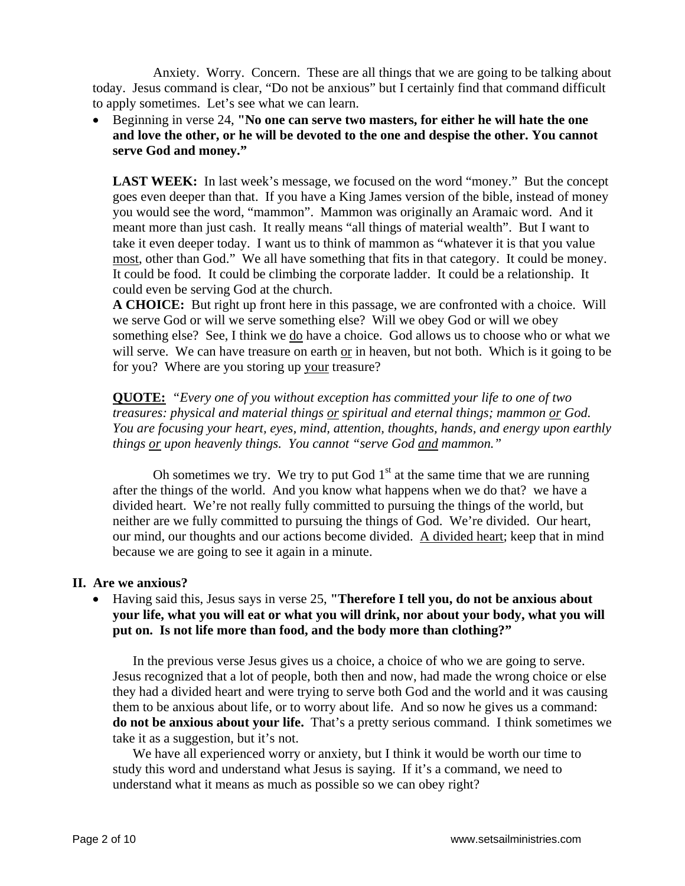Anxiety. Worry. Concern. These are all things that we are going to be talking about today. Jesus command is clear, "Do not be anxious" but I certainly find that command difficult to apply sometimes. Let's see what we can learn.

• Beginning in verse 24, **"No one can serve two masters, for either he will hate the one and love the other, or he will be devoted to the one and despise the other. You cannot serve God and money."**

LAST WEEK: In last week's message, we focused on the word "money." But the concept goes even deeper than that. If you have a King James version of the bible, instead of money you would see the word, "mammon". Mammon was originally an Aramaic word. And it meant more than just cash. It really means "all things of material wealth". But I want to take it even deeper today. I want us to think of mammon as "whatever it is that you value most, other than God." We all have something that fits in that category. It could be money. It could be food. It could be climbing the corporate ladder. It could be a relationship. It could even be serving God at the church.

**A CHOICE:** But right up front here in this passage, we are confronted with a choice. Will we serve God or will we serve something else? Will we obey God or will we obey something else? See, I think we do have a choice. God allows us to choose who or what we will serve. We can have treasure on earth or in heaven, but not both. Which is it going to be for you? Where are you storing up your treasure?

**QUOTE:** *"Every one of you without exception has committed your life to one of two treasures: physical and material things or spiritual and eternal things; mammon or God. You are focusing your heart, eyes, mind, attention, thoughts, hands, and energy upon earthly things or upon heavenly things. You cannot "serve God and mammon."* 

Oh sometimes we try. We try to put God  $1<sup>st</sup>$  at the same time that we are running after the things of the world. And you know what happens when we do that? we have a divided heart. We're not really fully committed to pursuing the things of the world, but neither are we fully committed to pursuing the things of God. We're divided. Our heart, our mind, our thoughts and our actions become divided. A divided heart; keep that in mind because we are going to see it again in a minute.

### **II. Are we anxious?**

• Having said this, Jesus says in verse 25, **"Therefore I tell you, do not be anxious about your life, what you will eat or what you will drink, nor about your body, what you will put on. Is not life more than food, and the body more than clothing?"** 

In the previous verse Jesus gives us a choice, a choice of who we are going to serve. Jesus recognized that a lot of people, both then and now, had made the wrong choice or else they had a divided heart and were trying to serve both God and the world and it was causing them to be anxious about life, or to worry about life. And so now he gives us a command: **do not be anxious about your life.** That's a pretty serious command. I think sometimes we take it as a suggestion, but it's not.

We have all experienced worry or anxiety, but I think it would be worth our time to study this word and understand what Jesus is saying. If it's a command, we need to understand what it means as much as possible so we can obey right?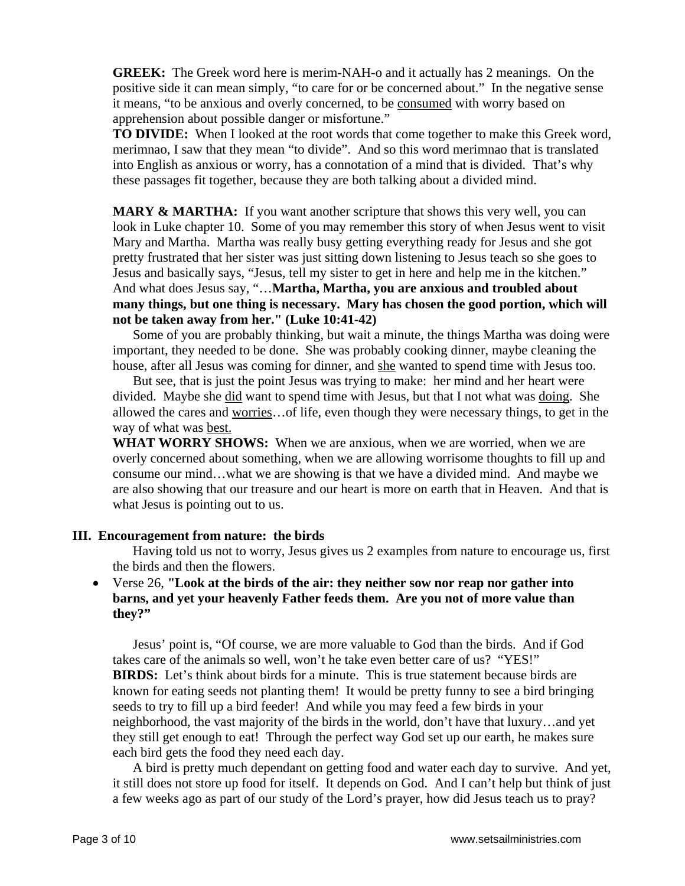**GREEK:** The Greek word here is merim-NAH-o and it actually has 2 meanings. On the positive side it can mean simply, "to care for or be concerned about." In the negative sense it means, "to be anxious and overly concerned, to be consumed with worry based on apprehension about possible danger or misfortune."

**TO DIVIDE:** When I looked at the root words that come together to make this Greek word, merimnao, I saw that they mean "to divide". And so this word merimnao that is translated into English as anxious or worry, has a connotation of a mind that is divided. That's why these passages fit together, because they are both talking about a divided mind.

**MARY & MARTHA:** If you want another scripture that shows this very well, you can look in Luke chapter 10. Some of you may remember this story of when Jesus went to visit Mary and Martha. Martha was really busy getting everything ready for Jesus and she got pretty frustrated that her sister was just sitting down listening to Jesus teach so she goes to Jesus and basically says, "Jesus, tell my sister to get in here and help me in the kitchen." And what does Jesus say, "…**Martha, Martha, you are anxious and troubled about many things, but one thing is necessary. Mary has chosen the good portion, which will not be taken away from her." (Luke 10:41-42)** 

Some of you are probably thinking, but wait a minute, the things Martha was doing were important, they needed to be done. She was probably cooking dinner, maybe cleaning the house, after all Jesus was coming for dinner, and she wanted to spend time with Jesus too.

But see, that is just the point Jesus was trying to make: her mind and her heart were divided. Maybe she did want to spend time with Jesus, but that I not what was doing. She allowed the cares and worries…of life, even though they were necessary things, to get in the way of what was best.

**WHAT WORRY SHOWS:** When we are anxious, when we are worried, when we are overly concerned about something, when we are allowing worrisome thoughts to fill up and consume our mind…what we are showing is that we have a divided mind. And maybe we are also showing that our treasure and our heart is more on earth that in Heaven. And that is what Jesus is pointing out to us.

### **III. Encouragement from nature: the birds**

Having told us not to worry, Jesus gives us 2 examples from nature to encourage us, first the birds and then the flowers.

## • Verse 26, **"Look at the birds of the air: they neither sow nor reap nor gather into barns, and yet your heavenly Father feeds them. Are you not of more value than they?"**

Jesus' point is, "Of course, we are more valuable to God than the birds. And if God takes care of the animals so well, won't he take even better care of us? "YES!" **BIRDS:** Let's think about birds for a minute. This is true statement because birds are known for eating seeds not planting them! It would be pretty funny to see a bird bringing seeds to try to fill up a bird feeder! And while you may feed a few birds in your neighborhood, the vast majority of the birds in the world, don't have that luxury…and yet they still get enough to eat! Through the perfect way God set up our earth, he makes sure each bird gets the food they need each day.

A bird is pretty much dependant on getting food and water each day to survive. And yet, it still does not store up food for itself. It depends on God. And I can't help but think of just a few weeks ago as part of our study of the Lord's prayer, how did Jesus teach us to pray?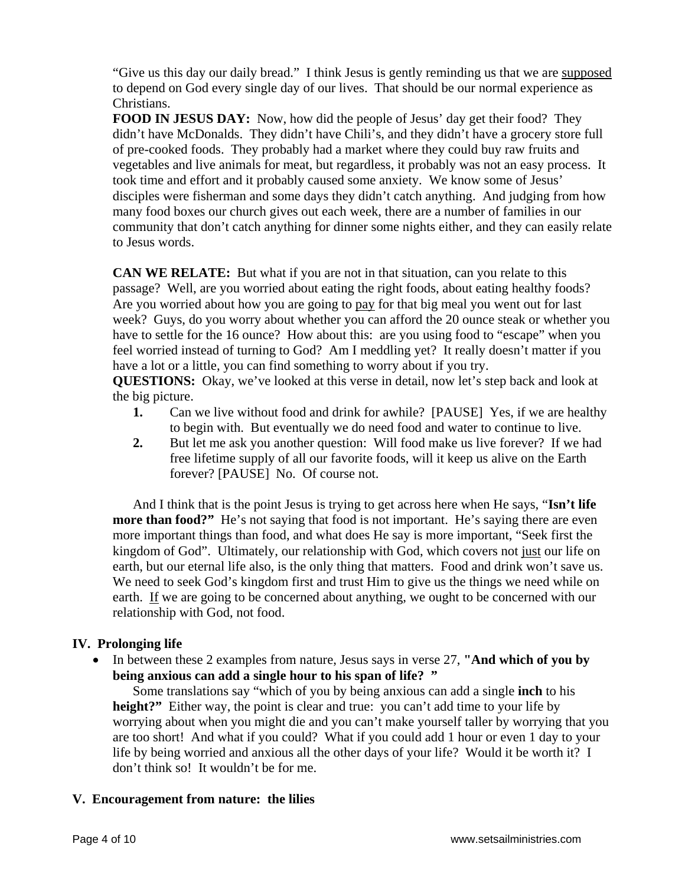"Give us this day our daily bread." I think Jesus is gently reminding us that we are supposed to depend on God every single day of our lives. That should be our normal experience as Christians.

**FOOD IN JESUS DAY:** Now, how did the people of Jesus' day get their food? They didn't have McDonalds. They didn't have Chili's, and they didn't have a grocery store full of pre-cooked foods. They probably had a market where they could buy raw fruits and vegetables and live animals for meat, but regardless, it probably was not an easy process. It took time and effort and it probably caused some anxiety. We know some of Jesus' disciples were fisherman and some days they didn't catch anything. And judging from how many food boxes our church gives out each week, there are a number of families in our community that don't catch anything for dinner some nights either, and they can easily relate to Jesus words.

**CAN WE RELATE:** But what if you are not in that situation, can you relate to this passage? Well, are you worried about eating the right foods, about eating healthy foods? Are you worried about how you are going to pay for that big meal you went out for last week? Guys, do you worry about whether you can afford the 20 ounce steak or whether you have to settle for the 16 ounce? How about this: are you using food to "escape" when you feel worried instead of turning to God? Am I meddling yet? It really doesn't matter if you have a lot or a little, you can find something to worry about if you try.

**QUESTIONS:** Okay, we've looked at this verse in detail, now let's step back and look at the big picture.

- **1.** Can we live without food and drink for awhile? [PAUSE] Yes, if we are healthy to begin with. But eventually we do need food and water to continue to live.
- **2.** But let me ask you another question: Will food make us live forever? If we had free lifetime supply of all our favorite foods, will it keep us alive on the Earth forever? [PAUSE] No. Of course not.

And I think that is the point Jesus is trying to get across here when He says, "**Isn't life more than food?"** He's not saying that food is not important. He's saying there are even more important things than food, and what does He say is more important, "Seek first the kingdom of God". Ultimately, our relationship with God, which covers not just our life on earth, but our eternal life also, is the only thing that matters. Food and drink won't save us. We need to seek God's kingdom first and trust Him to give us the things we need while on earth. If we are going to be concerned about anything, we ought to be concerned with our relationship with God, not food.

## **IV. Prolonging life**

• In between these 2 examples from nature, Jesus says in verse 27, **"And which of you by being anxious can add a single hour to his span of life? "**

Some translations say "which of you by being anxious can add a single **inch** to his **height?"** Either way, the point is clear and true: you can't add time to your life by worrying about when you might die and you can't make yourself taller by worrying that you are too short! And what if you could? What if you could add 1 hour or even 1 day to your life by being worried and anxious all the other days of your life? Would it be worth it? I don't think so! It wouldn't be for me.

# **V. Encouragement from nature: the lilies**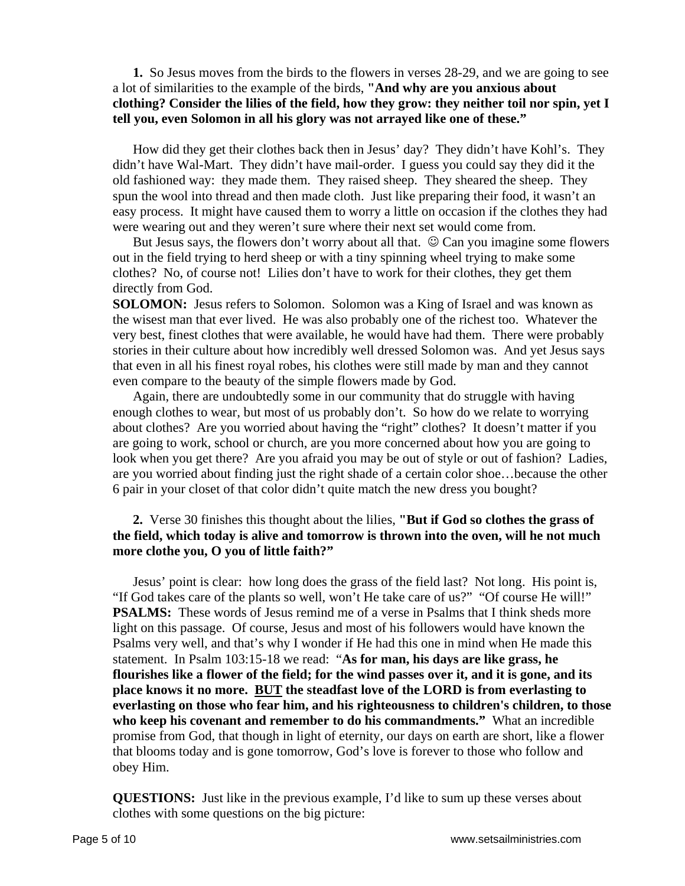## **1.** So Jesus moves from the birds to the flowers in verses 28-29, and we are going to see a lot of similarities to the example of the birds, **"And why are you anxious about clothing? Consider the lilies of the field, how they grow: they neither toil nor spin, yet I tell you, even Solomon in all his glory was not arrayed like one of these."**

How did they get their clothes back then in Jesus' day? They didn't have Kohl's. They didn't have Wal-Mart. They didn't have mail-order. I guess you could say they did it the old fashioned way: they made them. They raised sheep. They sheared the sheep. They spun the wool into thread and then made cloth. Just like preparing their food, it wasn't an easy process. It might have caused them to worry a little on occasion if the clothes they had were wearing out and they weren't sure where their next set would come from.

But Jesus says, the flowers don't worry about all that.  $\odot$  Can you imagine some flowers out in the field trying to herd sheep or with a tiny spinning wheel trying to make some clothes? No, of course not! Lilies don't have to work for their clothes, they get them directly from God.

**SOLOMON:** Jesus refers to Solomon. Solomon was a King of Israel and was known as the wisest man that ever lived. He was also probably one of the richest too. Whatever the very best, finest clothes that were available, he would have had them. There were probably stories in their culture about how incredibly well dressed Solomon was. And yet Jesus says that even in all his finest royal robes, his clothes were still made by man and they cannot even compare to the beauty of the simple flowers made by God.

Again, there are undoubtedly some in our community that do struggle with having enough clothes to wear, but most of us probably don't. So how do we relate to worrying about clothes? Are you worried about having the "right" clothes? It doesn't matter if you are going to work, school or church, are you more concerned about how you are going to look when you get there? Are you afraid you may be out of style or out of fashion? Ladies, are you worried about finding just the right shade of a certain color shoe…because the other 6 pair in your closet of that color didn't quite match the new dress you bought?

## **2.** Verse 30 finishes this thought about the lilies, **"But if God so clothes the grass of the field, which today is alive and tomorrow is thrown into the oven, will he not much more clothe you, O you of little faith?"**

Jesus' point is clear: how long does the grass of the field last? Not long. His point is, "If God takes care of the plants so well, won't He take care of us?" "Of course He will!" **PSALMS:** These words of Jesus remind me of a verse in Psalms that I think sheds more light on this passage. Of course, Jesus and most of his followers would have known the Psalms very well, and that's why I wonder if He had this one in mind when He made this statement. In Psalm 103:15-18 we read: "**As for man, his days are like grass, he flourishes like a flower of the field; for the wind passes over it, and it is gone, and its place knows it no more. BUT the steadfast love of the LORD is from everlasting to everlasting on those who fear him, and his righteousness to children's children, to those who keep his covenant and remember to do his commandments."** What an incredible promise from God, that though in light of eternity, our days on earth are short, like a flower that blooms today and is gone tomorrow, God's love is forever to those who follow and obey Him.

**QUESTIONS:** Just like in the previous example, I'd like to sum up these verses about clothes with some questions on the big picture: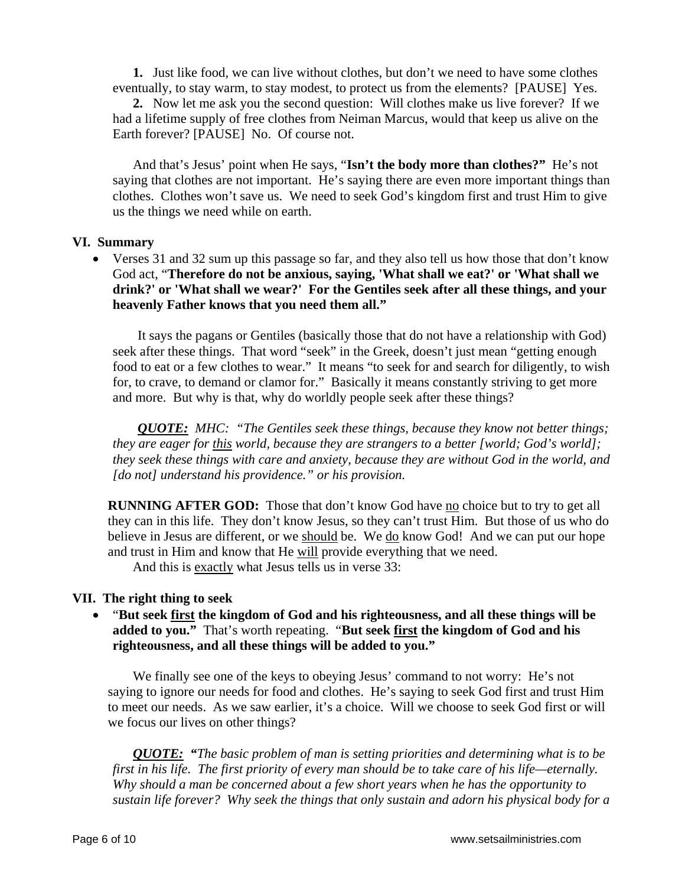**1.** Just like food, we can live without clothes, but don't we need to have some clothes eventually, to stay warm, to stay modest, to protect us from the elements? [PAUSE] Yes.

**2.** Now let me ask you the second question: Will clothes make us live forever? If we had a lifetime supply of free clothes from Neiman Marcus, would that keep us alive on the Earth forever? [PAUSE] No. Of course not.

And that's Jesus' point when He says, "**Isn't the body more than clothes?"** He's not saying that clothes are not important. He's saying there are even more important things than clothes. Clothes won't save us. We need to seek God's kingdom first and trust Him to give us the things we need while on earth.

### **VI. Summary**

• Verses 31 and 32 sum up this passage so far, and they also tell us how those that don't know God act, "**Therefore do not be anxious, saying, 'What shall we eat?' or 'What shall we drink?' or 'What shall we wear?' For the Gentiles seek after all these things, and your heavenly Father knows that you need them all."**

It says the pagans or Gentiles (basically those that do not have a relationship with God) seek after these things. That word "seek" in the Greek, doesn't just mean "getting enough food to eat or a few clothes to wear." It means "to seek for and search for diligently, to wish for, to crave, to demand or clamor for." Basically it means constantly striving to get more and more. But why is that, why do worldly people seek after these things?

*QUOTE: MHC: "The Gentiles seek these things, because they know not better things; they are eager for this world, because they are strangers to a better [world; God's world]; they seek these things with care and anxiety, because they are without God in the world, and [do not] understand his providence." or his provision.* 

**RUNNING AFTER GOD:** Those that don't know God have no choice but to try to get all they can in this life. They don't know Jesus, so they can't trust Him. But those of us who do believe in Jesus are different, or we should be. We do know God! And we can put our hope and trust in Him and know that He will provide everything that we need.

And this is exactly what Jesus tells us in verse 33:

### **VII. The right thing to seek**

• "**But seek first the kingdom of God and his righteousness, and all these things will be added to you."** That's worth repeating. "**But seek first the kingdom of God and his righteousness, and all these things will be added to you."** 

We finally see one of the keys to obeying Jesus' command to not worry: He's not saying to ignore our needs for food and clothes. He's saying to seek God first and trust Him to meet our needs. As we saw earlier, it's a choice. Will we choose to seek God first or will we focus our lives on other things?

*QUOTE: "The basic problem of man is setting priorities and determining what is to be first in his life. The first priority of every man should be to take care of his life—eternally. Why should a man be concerned about a few short years when he has the opportunity to sustain life forever? Why seek the things that only sustain and adorn his physical body for a*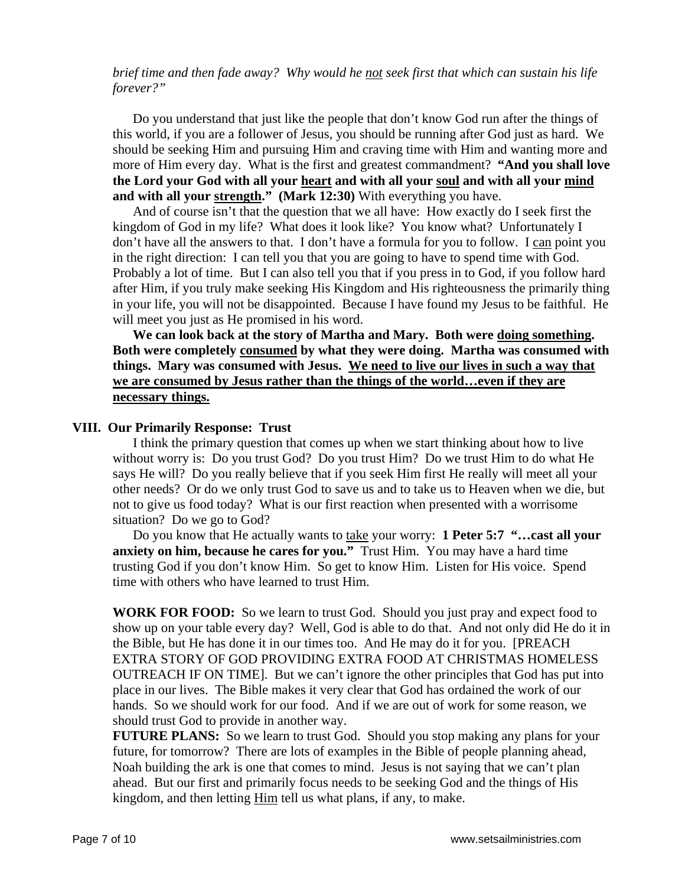### *brief time and then fade away? Why would he not seek first that which can sustain his life forever?"*

Do you understand that just like the people that don't know God run after the things of this world, if you are a follower of Jesus, you should be running after God just as hard. We should be seeking Him and pursuing Him and craving time with Him and wanting more and more of Him every day. What is the first and greatest commandment? **"And you shall love the Lord your God with all your heart and with all your soul and with all your mind and with all your strength."** (Mark 12:30) With everything you have.

And of course isn't that the question that we all have: How exactly do I seek first the kingdom of God in my life? What does it look like? You know what? Unfortunately I don't have all the answers to that. I don't have a formula for you to follow. I can point you in the right direction: I can tell you that you are going to have to spend time with God. Probably a lot of time. But I can also tell you that if you press in to God, if you follow hard after Him, if you truly make seeking His Kingdom and His righteousness the primarily thing in your life, you will not be disappointed. Because I have found my Jesus to be faithful. He will meet you just as He promised in his word.

**We can look back at the story of Martha and Mary. Both were doing something. Both were completely consumed by what they were doing. Martha was consumed with things. Mary was consumed with Jesus. We need to live our lives in such a way that we are consumed by Jesus rather than the things of the world…even if they are necessary things.**

#### **VIII. Our Primarily Response: Trust**

I think the primary question that comes up when we start thinking about how to live without worry is: Do you trust God? Do you trust Him? Do we trust Him to do what He says He will? Do you really believe that if you seek Him first He really will meet all your other needs? Or do we only trust God to save us and to take us to Heaven when we die, but not to give us food today? What is our first reaction when presented with a worrisome situation? Do we go to God?

Do you know that He actually wants to take your worry: **1 Peter 5:7 "…cast all your anxiety on him, because he cares for you."** Trust Him. You may have a hard time trusting God if you don't know Him. So get to know Him. Listen for His voice. Spend time with others who have learned to trust Him.

**WORK FOR FOOD:** So we learn to trust God. Should you just pray and expect food to show up on your table every day? Well, God is able to do that. And not only did He do it in the Bible, but He has done it in our times too. And He may do it for you. [PREACH EXTRA STORY OF GOD PROVIDING EXTRA FOOD AT CHRISTMAS HOMELESS OUTREACH IF ON TIME]. But we can't ignore the other principles that God has put into place in our lives. The Bible makes it very clear that God has ordained the work of our hands. So we should work for our food. And if we are out of work for some reason, we should trust God to provide in another way.

**FUTURE PLANS:** So we learn to trust God. Should you stop making any plans for your future, for tomorrow? There are lots of examples in the Bible of people planning ahead, Noah building the ark is one that comes to mind. Jesus is not saying that we can't plan ahead. But our first and primarily focus needs to be seeking God and the things of His kingdom, and then letting Him tell us what plans, if any, to make.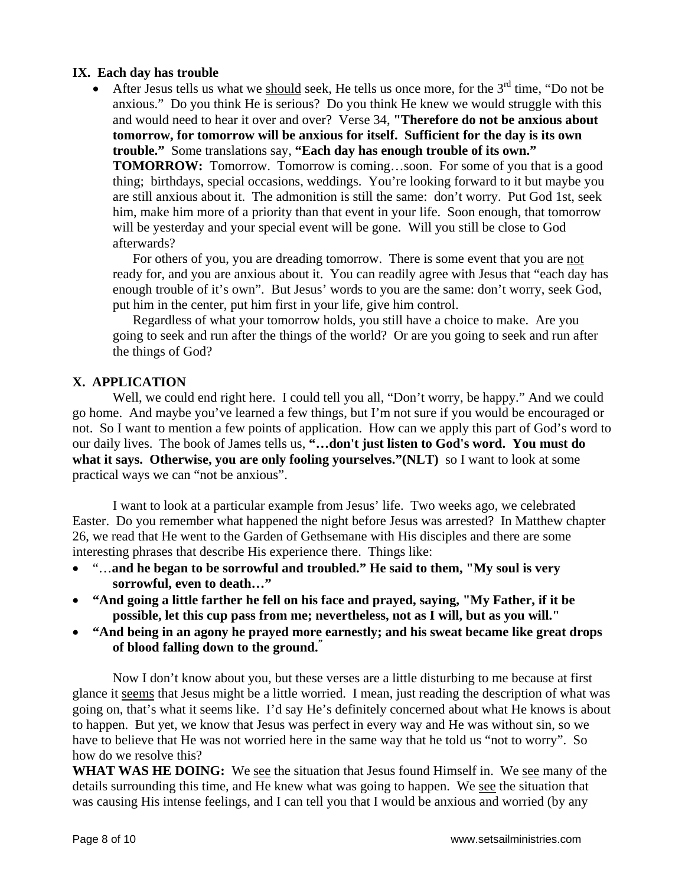## **IX. Each day has trouble**

• After Jesus tells us what we should seek, He tells us once more, for the  $3<sup>rd</sup>$  time, "Do not be anxious." Do you think He is serious? Do you think He knew we would struggle with this and would need to hear it over and over? Verse 34, **"Therefore do not be anxious about tomorrow, for tomorrow will be anxious for itself. Sufficient for the day is its own trouble."** Some translations say, **"Each day has enough trouble of its own." TOMORROW:** Tomorrow. Tomorrow is coming...soon. For some of you that is a good thing; birthdays, special occasions, weddings. You're looking forward to it but maybe you are still anxious about it. The admonition is still the same: don't worry. Put God 1st, seek him, make him more of a priority than that event in your life. Soon enough, that tomorrow will be yesterday and your special event will be gone. Will you still be close to God afterwards?

For others of you, you are dreading tomorrow. There is some event that you are not ready for, and you are anxious about it. You can readily agree with Jesus that "each day has enough trouble of it's own". But Jesus' words to you are the same: don't worry, seek God, put him in the center, put him first in your life, give him control.

Regardless of what your tomorrow holds, you still have a choice to make. Are you going to seek and run after the things of the world? Or are you going to seek and run after the things of God?

## **X. APPLICATION**

Well, we could end right here. I could tell you all, "Don't worry, be happy." And we could go home. And maybe you've learned a few things, but I'm not sure if you would be encouraged or not. So I want to mention a few points of application. How can we apply this part of God's word to our daily lives. The book of James tells us, **"…don't just listen to God's word. You must do what it says. Otherwise, you are only fooling yourselves."(NLT)** so I want to look at some practical ways we can "not be anxious".

I want to look at a particular example from Jesus' life. Two weeks ago, we celebrated Easter. Do you remember what happened the night before Jesus was arrested? In Matthew chapter 26, we read that He went to the Garden of Gethsemane with His disciples and there are some interesting phrases that describe His experience there. Things like:

- "…**and he began to be sorrowful and troubled." He said to them, "My soul is very sorrowful, even to death…"**
- **"And going a little farther he fell on his face and prayed, saying, "My Father, if it be possible, let this cup pass from me; nevertheless, not as I will, but as you will."**
- **"And being in an agony he prayed more earnestly; and his sweat became like great drops of blood falling down to the ground."**

Now I don't know about you, but these verses are a little disturbing to me because at first glance it seems that Jesus might be a little worried. I mean, just reading the description of what was going on, that's what it seems like. I'd say He's definitely concerned about what He knows is about to happen. But yet, we know that Jesus was perfect in every way and He was without sin, so we have to believe that He was not worried here in the same way that he told us "not to worry". So how do we resolve this?

WHAT WAS HE DOING: We see the situation that Jesus found Himself in. We see many of the details surrounding this time, and He knew what was going to happen. We see the situation that was causing His intense feelings, and I can tell you that I would be anxious and worried (by any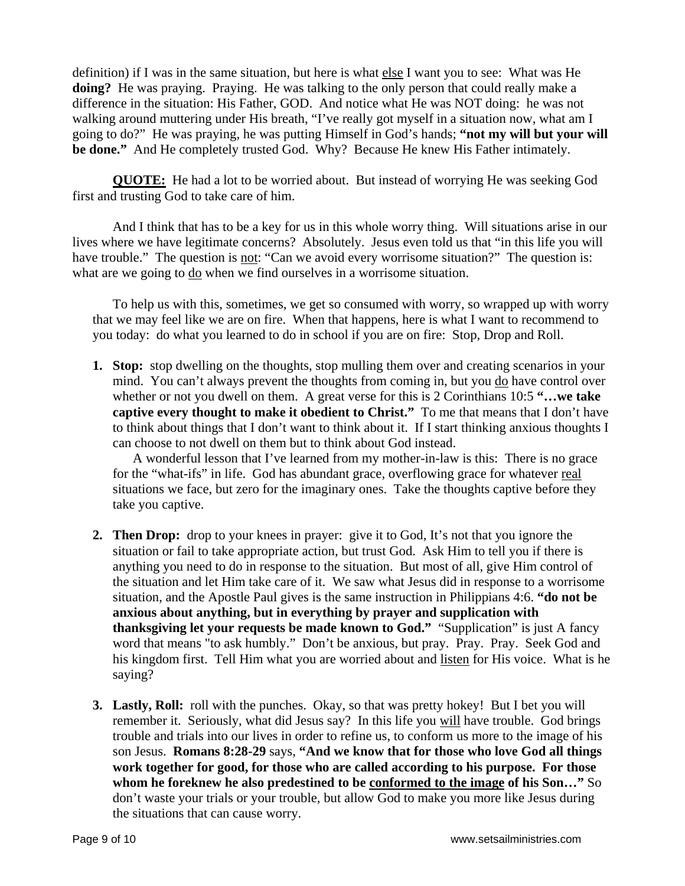definition) if I was in the same situation, but here is what else I want you to see: What was He **doing?** He was praying. Praying. He was talking to the only person that could really make a difference in the situation: His Father, GOD. And notice what He was NOT doing: he was not walking around muttering under His breath, "I've really got myself in a situation now, what am I going to do?" He was praying, he was putting Himself in God's hands; **"not my will but your will be done."** And He completely trusted God. Why? Because He knew His Father intimately.

**QUOTE:** He had a lot to be worried about. But instead of worrying He was seeking God first and trusting God to take care of him.

 And I think that has to be a key for us in this whole worry thing. Will situations arise in our lives where we have legitimate concerns? Absolutely. Jesus even told us that "in this life you will have trouble." The question is not: "Can we avoid every worrisome situation?" The question is: what are we going to do when we find ourselves in a worrisome situation.

To help us with this, sometimes, we get so consumed with worry, so wrapped up with worry that we may feel like we are on fire. When that happens, here is what I want to recommend to you today: do what you learned to do in school if you are on fire: Stop, Drop and Roll.

**1. Stop:** stop dwelling on the thoughts, stop mulling them over and creating scenarios in your mind. You can't always prevent the thoughts from coming in, but you do have control over whether or not you dwell on them. A great verse for this is 2 Corinthians 10:5 **"…we take captive every thought to make it obedient to Christ."** To me that means that I don't have to think about things that I don't want to think about it. If I start thinking anxious thoughts I can choose to not dwell on them but to think about God instead.

A wonderful lesson that I've learned from my mother-in-law is this: There is no grace for the "what-ifs" in life. God has abundant grace, overflowing grace for whatever real situations we face, but zero for the imaginary ones. Take the thoughts captive before they take you captive.

- **2. Then Drop:** drop to your knees in prayer: give it to God, It's not that you ignore the situation or fail to take appropriate action, but trust God. Ask Him to tell you if there is anything you need to do in response to the situation. But most of all, give Him control of the situation and let Him take care of it. We saw what Jesus did in response to a worrisome situation, and the Apostle Paul gives is the same instruction in Philippians 4:6. **"do not be anxious about anything, but in everything by prayer and supplication with thanksgiving let your requests be made known to God."** "Supplication" is just A fancy word that means "to ask humbly." Don't be anxious, but pray. Pray. Pray. Seek God and his kingdom first. Tell Him what you are worried about and listen for His voice. What is he saying?
- **3. Lastly, Roll:** roll with the punches. Okay, so that was pretty hokey! But I bet you will remember it. Seriously, what did Jesus say? In this life you will have trouble. God brings trouble and trials into our lives in order to refine us, to conform us more to the image of his son Jesus. **Romans 8:28-29** says, **"And we know that for those who love God all things work together for good, for those who are called according to his purpose. For those whom he foreknew he also predestined to be conformed to the image of his Son…"** So don't waste your trials or your trouble, but allow God to make you more like Jesus during the situations that can cause worry.